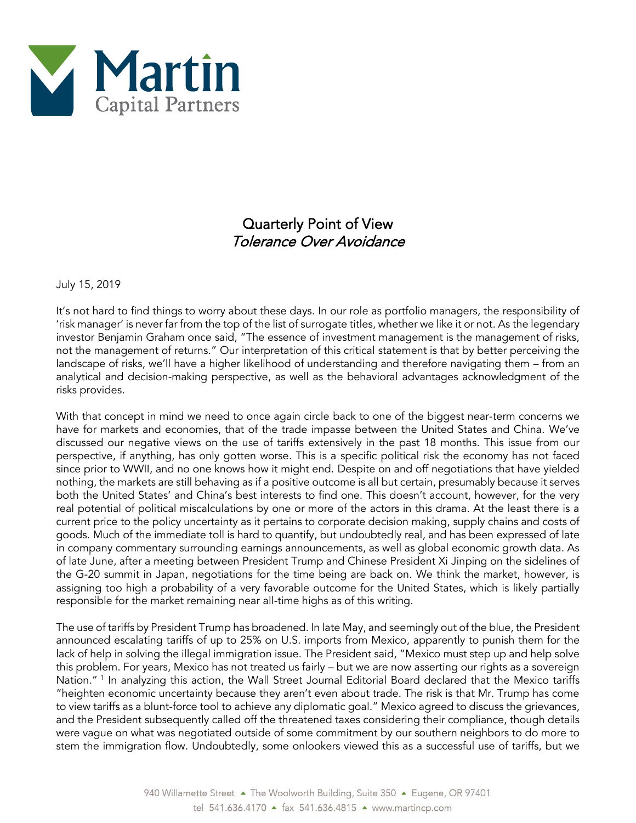

## Quarterly Point of View Tolerance Over Avoidance

July 15, 2019

It's not hard to find things to worry about these days. In our role as portfolio managers, the responsibility of 'risk manager' is never far from the top of the list of surrogate titles, whether we like it or not. As the legendary investor Benjamin Graham once said, "The essence of investment management is the management of risks, not the management of returns." Our interpretation of this critical statement is that by better perceiving the landscape of risks, we'll have a higher likelihood of understanding and therefore navigating them – from an analytical and decision-making perspective, as well as the behavioral advantages acknowledgment of the risks provides.

With that concept in mind we need to once again circle back to one of the biggest near-term concerns we have for markets and economies, that of the trade impasse between the United States and China. We've discussed our negative views on the use of tariffs extensively in the past 18 months. This issue from our perspective, if anything, has only gotten worse. This is a specific political risk the economy has not faced since prior to WWII, and no one knows how it might end. Despite on and off negotiations that have yielded nothing, the markets are still behaving as if a positive outcome is all but certain, presumably because it serves both the United States' and China's best interests to find one. This doesn't account, however, for the very real potential of political miscalculations by one or more of the actors in this drama. At the least there is a current price to the policy uncertainty as it pertains to corporate decision making, supply chains and costs of goods. Much of the immediate toll is hard to quantify, but undoubtedly real, and has been expressed of late in company commentary surrounding earnings announcements, as well as global economic growth data. As of late June, after a meeting between President Trump and Chinese President Xi Jinping on the sidelines of the G-20 summit in Japan, negotiations for the time being are back on. We think the market, however, is assigning too high a probability of a very favorable outcome for the United States, which is likely partially responsible for the market remaining near all-time highs as of this writing.

The use of tariffs by President Trump has broadened. In late May, and seemingly out of the blue, the President announced escalating tariffs of up to 25% on U.S. imports from Mexico, apparently to punish them for the lack of help in solving the illegal immigration issue. The President said, "Mexico must step up and help solve this problem. For years, Mexico has not treated us fairly – but we are now asserting our rights as a sovereign Nation."<sup>1</sup> In analyzing this action, the Wall Street Journal Editorial Board declared that the Mexico tariffs "heighten economic uncertainty because they aren't even about trade. The risk is that Mr. Trump has come to view tariffs as a blunt-force tool to achieve any diplomatic goal." Mexico agreed to discuss the grievances, and the President subsequently called off the threatened taxes considering their compliance, though details were vague on what was negotiated outside of some commitment by our southern neighbors to do more to stem the immigration flow. Undoubtedly, some onlookers viewed this as a successful use of tariffs, but we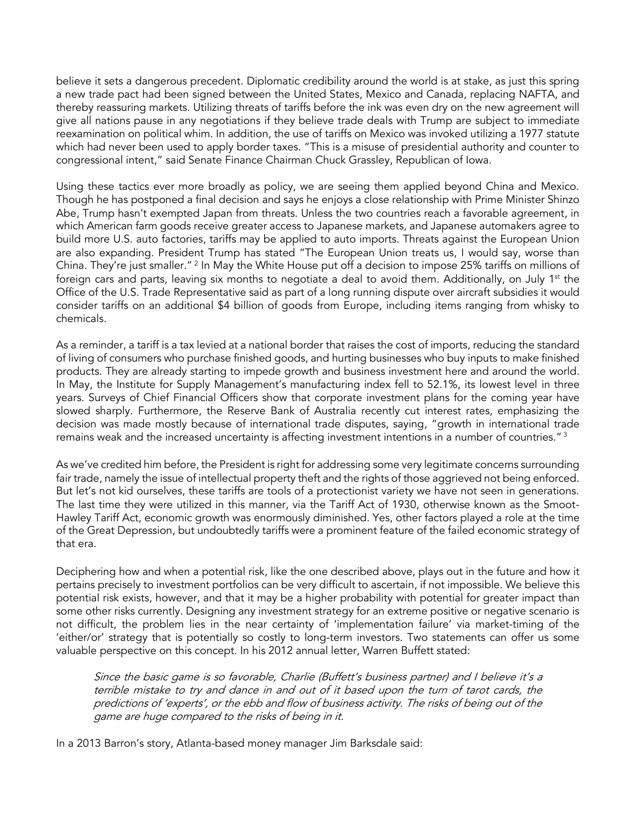believe it sets a dangerous precedent. Diplomatic credibility around the world is at stake, as just this spring a new trade pact had been signed between the United States, Mexico and Canada, replacing NAFTA, and thereby reassuring markets. Utilizing threats of tariffs before the ink was even dry on the new agreement will give all nations pause in any negotiations if they believe trade deals with Trump are subject to immediate reexamination on political whim. In addition, the use of tariffs on Mexico was invoked utilizing a 1977 statute which had never been used to apply border taxes. "This is a misuse of presidential authority and counter to congressional intent," said Senate Finance Chairman Chuck Grassley, Republican of Iowa.

Using these tactics ever more broadly as policy, we are seeing them applied beyond China and Mexico. Though he has postponed a final decision and says he enjoys a close relationship with Prime Minister Shinzo Abe, Trump hasn't exempted Japan from threats. Unless the two countries reach a favorable agreement, in which American farm goods receive greater access to Japanese markets, and Japanese automakers agree to build more U.S. auto factories, tariffs may be applied to auto imports. Threats against the European Union are also expanding. President Trump has stated "The European Union treats us, I would say, worse than China. They're just smaller."<sup>2</sup> In May the White House put off a decision to impose 25% tariffs on millions of foreign cars and parts, leaving six months to negotiate a deal to avoid them. Additionally, on July 1<sup>st</sup> the Office of the U.S. Trade Representative said as part of a long running dispute over aircraft subsidies it would consider tariffs on an additional \$4 billion of goods from Europe, including items ranging from whisky to chemicals.

As a reminder, a tariff is a tax levied at a national border that raises the cost of imports, reducing the standard of living of consumers who purchase finished goods, and hurting businesses who buy inputs to make finished products. They are already starting to impede growth and business investment here and around the world. In May, the Institute for Supply Management's manufacturing index fell to 52.1%, its lowest level in three years. Surveys of Chief Financial Officers show that corporate investment plans for the coming year have slowed sharply. Furthermore, the Reserve Bank of Australia recently cut interest rates, emphasizing the decision was made mostly because of international trade disputes, saying, "growth in international trade remains weak and the increased uncertainty is affecting investment intentions in a number of countries." <sup>3</sup>

As we've credited him before, the President is right for addressing some very legitimate concerns surrounding fair trade, namely the issue of intellectual property theft and the rights of those aggrieved not being enforced. But let's not kid ourselves, these tariffs are tools of a protectionist variety we have not seen in generations. The last time they were utilized in this manner, via the Tariff Act of 1930, otherwise known as the Smoot-Hawley Tariff Act, economic growth was enormously diminished. Yes, other factors played a role at the time of the Great Depression, but undoubtedly tariffs were a prominent feature of the failed economic strategy of that era.

Deciphering how and when a potential risk, like the one described above, plays out in the future and how it pertains precisely to investment portfolios can be very difficult to ascertain, if not impossible. We believe this potential risk exists, however, and that it may be a higher probability with potential for greater impact than some other risks currently. Designing any investment strategy for an extreme positive or negative scenario is not difficult, the problem lies in the near certainty of 'implementation failure' via market-timing of the 'either/or' strategy that is potentially so costly to long-term investors. Two statements can offer us some valuable perspective on this concept. In his 2012 annual letter, Warren Buffett stated:

Since the basic game is so favorable, Charlie (Buffett's business partner) and I believe it's a terrible mistake to try and dance in and out of it based upon the turn of tarot cards, the predictions of 'experts', or the ebb and flow of business activity. The risks of being out of the game are huge compared to the risks of being in it.

In a 2013 Barron's story, Atlanta-based money manager Jim Barksdale said: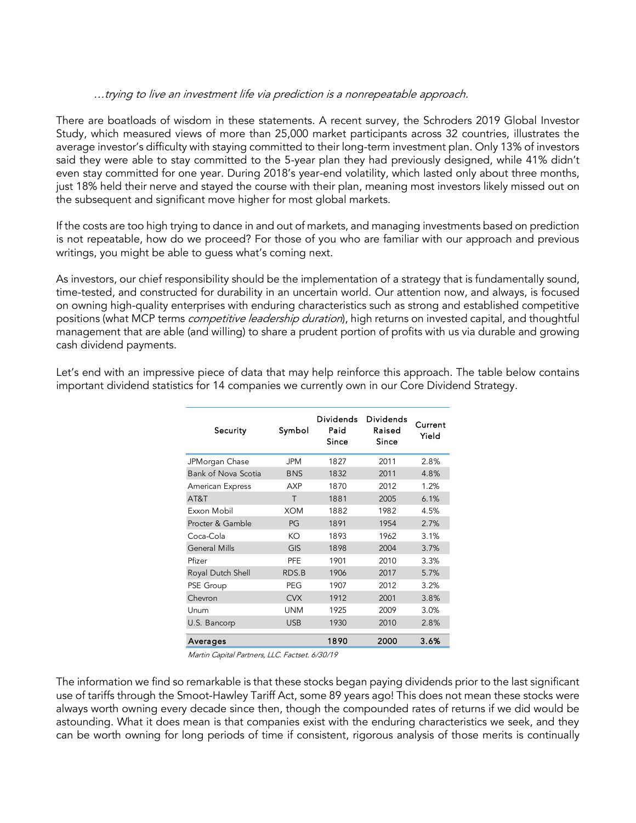## …trying to live an investment life via prediction is a nonrepeatable approach.

There are boatloads of wisdom in these statements. A recent survey, the Schroders 2019 Global Investor Study, which measured views of more than 25,000 market participants across 32 countries, illustrates the average investor's difficulty with staying committed to their long-term investment plan. Only 13% of investors said they were able to stay committed to the 5-year plan they had previously designed, while 41% didn't even stay committed for one year. During 2018's year-end volatility, which lasted only about three months, just 18% held their nerve and stayed the course with their plan, meaning most investors likely missed out on the subsequent and significant move higher for most global markets.

If the costs are too high trying to dance in and out of markets, and managing investments based on prediction is not repeatable, how do we proceed? For those of you who are familiar with our approach and previous writings, you might be able to guess what's coming next.

As investors, our chief responsibility should be the implementation of a strategy that is fundamentally sound, time-tested, and constructed for durability in an uncertain world. Our attention now, and always, is focused on owning high-quality enterprises with enduring characteristics such as strong and established competitive positions (what MCP terms *competitive leadership duration*), high returns on invested capital, and thoughtful management that are able (and willing) to share a prudent portion of profits with us via durable and growing cash dividend payments.

| Security             | Symbol     | Dividends<br>Paid<br>Since | Dividends<br>Raised<br>Since | Current<br>Yield |
|----------------------|------------|----------------------------|------------------------------|------------------|
| JPMorgan Chase       | <b>JPM</b> | 1827                       | 2011                         | 2.8%             |
| Bank of Nova Scotia  | <b>BNS</b> | 1832                       | 2011                         | 4.8%             |
| American Express     | <b>AXP</b> | 1870                       | 2012                         | 1.2%             |
| AT&T                 | T          | 1881                       | 2005                         | 6.1%             |
| Exxon Mobil          | <b>XOM</b> | 1882                       | 1982                         | 4.5%             |
| Procter & Gamble     | PG         | 1891                       | 1954                         | 2.7%             |
| Coca-Cola            | KO         | 1893                       | 1962                         | 3.1%             |
| <b>General Mills</b> | GIS        | 1898                       | 2004                         | 3.7%             |
| Pfizer               | <b>PFE</b> | 1901                       | 2010                         | 3.3%             |
| Royal Dutch Shell    | RDS.B      | 1906                       | 2017                         | 5.7%             |
| PSE Group            | PEG        | 1907                       | 2012                         | 3.2%             |
| Chevron              | <b>CVX</b> | 1912                       | 2001                         | 3.8%             |
| Unum                 | <b>UNM</b> | 1925                       | 2009                         | 3.0%             |
| U.S. Bancorp         | <b>USB</b> | 1930                       | 2010                         | 2.8%             |
| Averages             |            | 1890                       | 2000                         | 3.6%             |

Let's end with an impressive piece of data that may help reinforce this approach. The table below contains important dividend statistics for 14 companies we currently own in our Core Dividend Strategy.

Martin Capital Partners, LLC. Factset. 6/30/19

The information we find so remarkable is that these stocks began paying dividends prior to the last significant use of tariffs through the Smoot-Hawley Tariff Act, some 89 years ago! This does not mean these stocks were always worth owning every decade since then, though the compounded rates of returns if we did would be astounding. What it does mean is that companies exist with the enduring characteristics we seek, and they can be worth owning for long periods of time if consistent, rigorous analysis of those merits is continually